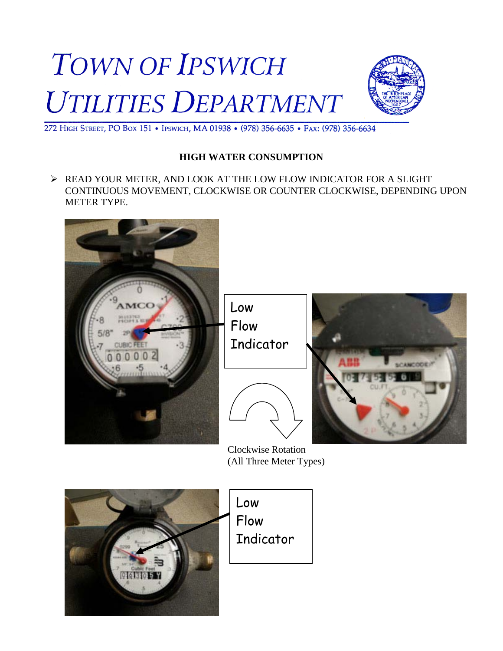



272 HIGH STREET, PO BOX 151 . IPSWICH, MA 01938 . (978) 356-6635 . FAX: (978) 356-6634

## **HIGH WATER CONSUMPTION**

 READ YOUR METER, AND LOOK AT THE LOW FLOW INDICATOR FOR A SLIGHT CONTINUOUS MOVEMENT, CLOCKWISE OR COUNTER CLOCKWISE, DEPENDING UPON METER TYPE.



Low Flow Indicator





 Clockwise Rotation (All Three Meter Types)

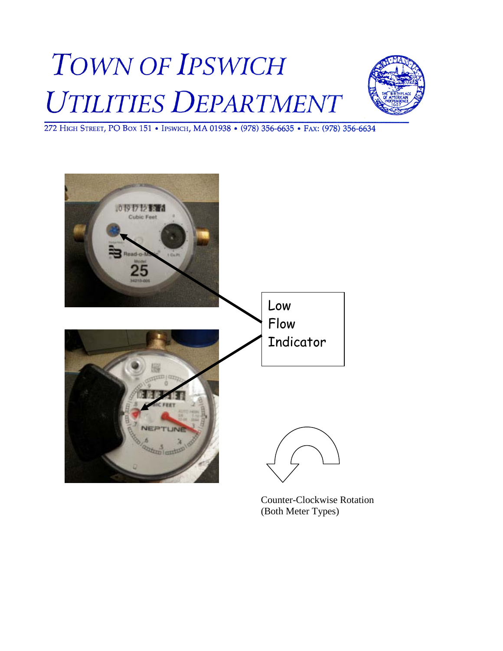## **TOWN OF IPSWICH** UTILITIES DEPARTMENT



272 HIGH STREET, PO BOX 151 . IPSWICH, MA 01938 . (978) 356-6635 . FAX: (978) 356-6634



Counter-Clockwise Rotation (Both Meter Types)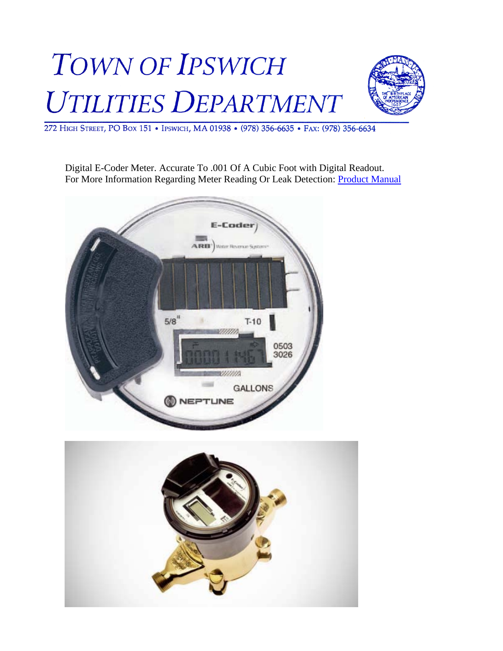## **TOWN OF IPSWICH** UTILITIES DEPARTMENT



272 HIGH STREET, PO BOX 151 . IPSWICH, MA 01938 . (978) 356-6635 . FAX: (978) 356-6634

Digital E-Coder Meter. Accurate To .001 Of A Cubic Foot with Digital Readout. For More Information Regarding Meter Reading Or Leak Detection: [Product Manual](http://neptunetg.com/userfiles/file/products/E-Coder%20Solid%20State%20Absolute%20Encoder/Product%20Sheet_EN.pdf)

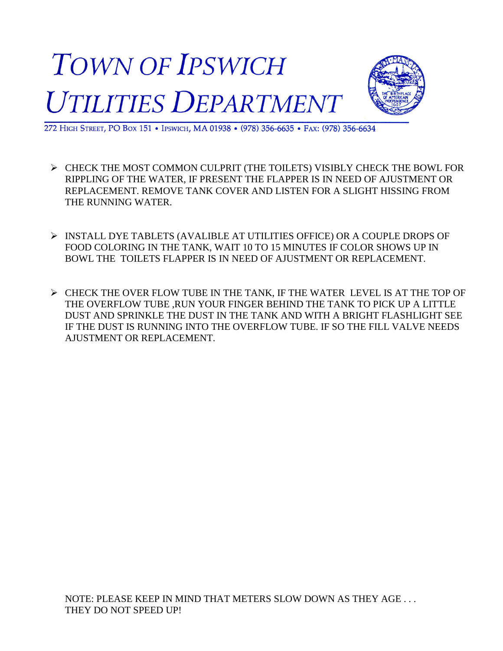



272 HIGH STREET, PO BOX 151 . IPSWICH, MA 01938 . (978) 356-6635 . FAX: (978) 356-6634

- $\triangleright$  CHECK THE MOST COMMON CULPRIT (THE TOILETS) VISIBLY CHECK THE BOWL FOR RIPPLING OF THE WATER, IF PRESENT THE FLAPPER IS IN NEED OF AJUSTMENT OR REPLACEMENT. REMOVE TANK COVER AND LISTEN FOR A SLIGHT HISSING FROM THE RUNNING WATER.
- INSTALL DYE TABLETS (AVALIBLE AT UTILITIES OFFICE) OR A COUPLE DROPS OF FOOD COLORING IN THE TANK, WAIT 10 TO 15 MINUTES IF COLOR SHOWS UP IN BOWL THE TOILETS FLAPPER IS IN NEED OF AJUSTMENT OR REPLACEMENT.
- $\triangleright$  CHECK THE OVER FLOW TUBE IN THE TANK, IF THE WATER LEVEL IS AT THE TOP OF THE OVERFLOW TUBE ,RUN YOUR FINGER BEHIND THE TANK TO PICK UP A LITTLE DUST AND SPRINKLE THE DUST IN THE TANK AND WITH A BRIGHT FLASHLIGHT SEE IF THE DUST IS RUNNING INTO THE OVERFLOW TUBE. IF SO THE FILL VALVE NEEDS AJUSTMENT OR REPLACEMENT.